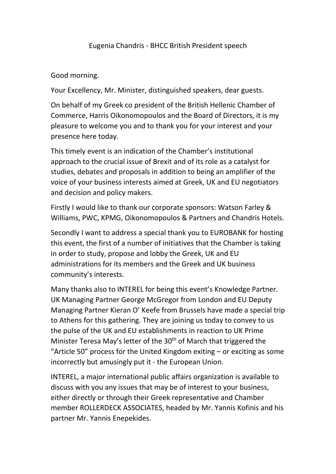## Eugenia Chandris - BHCC British President speech

## Good morning.

Your Excellency, Mr. Minister, distinguished speakers, dear guests.

On behalf of my Greek co president of the British Hellenic Chamber of Commerce, Harris Oikonomopoulos and the Board of Directors, it is my pleasure to welcome you and to thank you for your interest and your presence here today.

This timely event is an indication of the Chamber's institutional approach to the crucial issue of Brexit and of its role as a catalyst for studies, debates and proposals in addition to being an amplifier of the voice of your business interests aimed at Greek, UK and EU negotiators and decision and policy makers.

Firstly I would like to thank our corporate sponsors: Watson Farley & Williams, PWC, KPMG, Oikonomopoulos & Partners and Chandris Hotels.

Secondly I want to address a special thank you to EUROBANK for hosting this event, the first of a number of initiatives that the Chamber is taking in order to study, propose and lobby the Greek, UK and EU administrations for its members and the Greek and UK business community's interests.

Many thanks also to INTEREL for being this event's Knowledge Partner. UK Managing Partner George McGregor from London and EU Deputy Managing Partner Kieran O' Keefe from Brussels have made a special trip to Athens for this gathering. They are joining us today to convey to us the pulse of the UK and EU establishments in reaction to UK Prime Minister Teresa May's letter of the  $30<sup>th</sup>$  of March that triggered the "Article 50" process for the United Kingdom exiting – or exciting as some incorrectly but amusingly put it - the European Union.

INTEREL, a major international public affairs organization is available to discuss with you any issues that may be of interest to your business, either directly or through their Greek representative and Chamber member ROLLERDECK ASSOCIATES, headed by Mr. Yannis Kofinis and his partner Mr. Yannis Enepekides.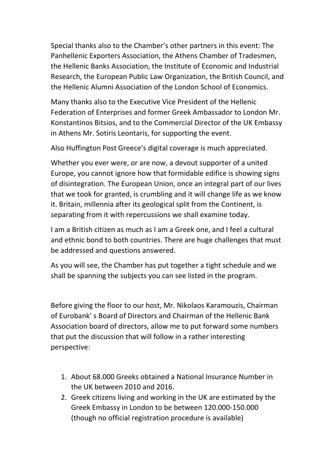Special thanks also to the Chamber's other partners in this event: The Panhellenic Exporters Association, the Athens Chamber of Tradesmen, the Hellenic Banks Association, the Institute of Economic and Industrial Research, the European Public Law Organization, the British Council, and the Hellenic Alumni Association of the London School of Economics.

Many thanks also to the Executive Vice President of the Hellenic Federation of Enterprises and former Greek Ambassador to London Mr. Konstantinos Bitsios, and to the Commercial Director of the UK Embassy in Athens Mr. Sotiris Leontaris, for supporting the event.

Also Huffington Post Greece's digital coverage is much appreciated.

Whether you ever were, or are now, a devout supporter of a united Europe, you cannot ignore how that formidable edifice is showing signs of disintegration. The European Union, once an integral part of our lives that we took for granted, is crumbling and it will change life as we know it. Britain, millennia after its geological split from the Continent, is separating from it with repercussions we shall examine today.

I am a British citizen as much as I am a Greek one, and I feel a cultural and ethnic bond to both countries. There are huge challenges that must be addressed and questions answered.

As you will see, the Chamber has put together a tight schedule and we shall be spanning the subjects you can see listed in the program.

Before giving the floor to our host, Mr. Nikolaos Karamouzis, Chairman of Eurobank' s Board of Directors and Chairman of the Hellenic Bank Association board of directors, allow me to put forward some numbers that put the discussion that will follow in a rather interesting perspective:

- 1. About 68.000 Greeks obtained a National Insurance Number in the UK between 2010 and 2016.
- 2. Greek citizens living and working in the UK are estimated by the Greek Embassy in London to be between 120.000-150.000 (though no official registration procedure is available)